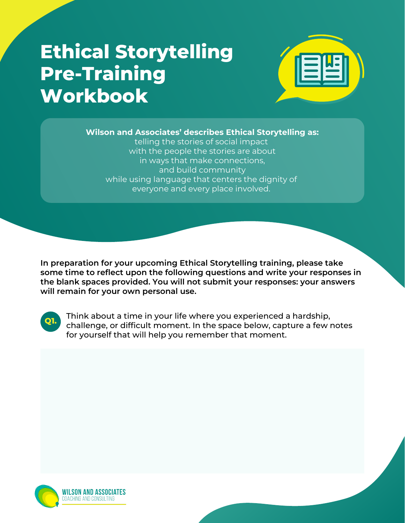## **Ethical Storytelling Pre-Training Workbook**



**Wilson and Associates' describes Ethical Storytelling as:**

telling the stories of social impact with the people the stories are about in ways that make connections, and build community while using language that centers the dignity of everyone and every place involved.

**In preparation for your upcoming Ethical Storytelling training, please take some time to reflect upon the following questions and write your responses in the blank spaces provided. You will not submit your responses: your answers will remain for your own personal use.**



Think about a time in your life where you experienced a hardship, challenge, or difficult moment. In the space below, capture a few notes for yourself that will help you remember that moment.

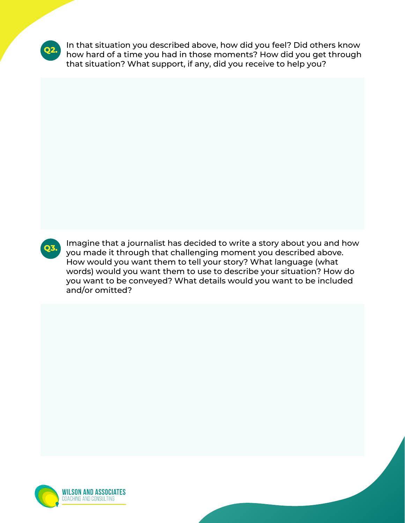

In that situation you described above, how did you feel? Did others know how hard of a time you had in those moments? How did you get through that situation? What support, if any, did you receive to help you?



Imagine that a journalist has decided to write a story about you and how you made it through that challenging moment you described above. How would you want them to tell your story? What language (what words) would you want them to use to describe your situation? How do you want to be conveyed? What details would you want to be included and/or omitted?